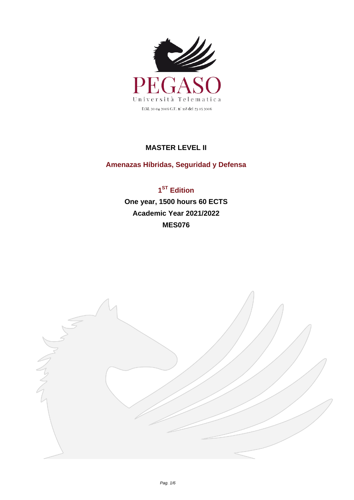

## **MASTER LEVEL II**

## **Amenazas Híbridas, Seguridad y Defensa**

**1 ST Edition One year, 1500 hours 60 ECTS Academic Year 2021/2022 MES076**

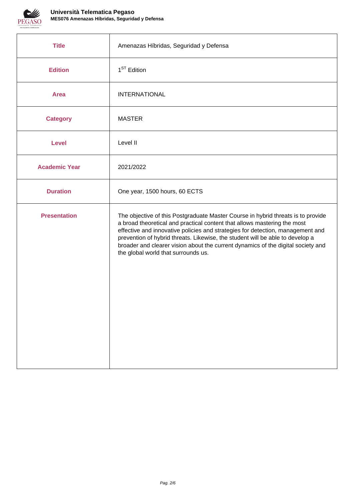

| <b>Title</b>         | Amenazas Híbridas, Seguridad y Defensa                                                                                                                                                                                                                                                                                                                                                                                                                     |
|----------------------|------------------------------------------------------------------------------------------------------------------------------------------------------------------------------------------------------------------------------------------------------------------------------------------------------------------------------------------------------------------------------------------------------------------------------------------------------------|
| <b>Edition</b>       | 1 <sup>ST</sup> Edition                                                                                                                                                                                                                                                                                                                                                                                                                                    |
| <b>Area</b>          | <b>INTERNATIONAL</b>                                                                                                                                                                                                                                                                                                                                                                                                                                       |
| <b>Category</b>      | <b>MASTER</b>                                                                                                                                                                                                                                                                                                                                                                                                                                              |
| <b>Level</b>         | Level II                                                                                                                                                                                                                                                                                                                                                                                                                                                   |
| <b>Academic Year</b> | 2021/2022                                                                                                                                                                                                                                                                                                                                                                                                                                                  |
| <b>Duration</b>      | One year, 1500 hours, 60 ECTS                                                                                                                                                                                                                                                                                                                                                                                                                              |
| <b>Presentation</b>  | The objective of this Postgraduate Master Course in hybrid threats is to provide<br>a broad theoretical and practical content that allows mastering the most<br>effective and innovative policies and strategies for detection, management and<br>prevention of hybrid threats. Likewise, the student will be able to develop a<br>broader and clearer vision about the current dynamics of the digital society and<br>the global world that surrounds us. |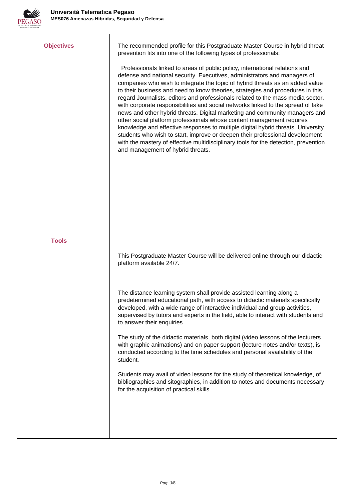

| <b>Objectives</b> | The recommended profile for this Postgraduate Master Course in hybrid threat<br>prevention fits into one of the following types of professionals:<br>Professionals linked to areas of public policy, international relations and<br>defense and national security. Executives, administrators and managers of<br>companies who wish to integrate the topic of hybrid threats as an added value<br>to their business and need to know theories, strategies and procedures in this<br>regard Journalists, editors and professionals related to the mass media sector,<br>with corporate responsibilities and social networks linked to the spread of fake<br>news and other hybrid threats. Digital marketing and community managers and<br>other social platform professionals whose content management requires<br>knowledge and effective responses to multiple digital hybrid threats. University<br>students who wish to start, improve or deepen their professional development<br>with the mastery of effective multidisciplinary tools for the detection, prevention<br>and management of hybrid threats. |
|-------------------|-----------------------------------------------------------------------------------------------------------------------------------------------------------------------------------------------------------------------------------------------------------------------------------------------------------------------------------------------------------------------------------------------------------------------------------------------------------------------------------------------------------------------------------------------------------------------------------------------------------------------------------------------------------------------------------------------------------------------------------------------------------------------------------------------------------------------------------------------------------------------------------------------------------------------------------------------------------------------------------------------------------------------------------------------------------------------------------------------------------------|
| <b>Tools</b>      |                                                                                                                                                                                                                                                                                                                                                                                                                                                                                                                                                                                                                                                                                                                                                                                                                                                                                                                                                                                                                                                                                                                 |
|                   | This Postgraduate Master Course will be delivered online through our didactic<br>platform available 24/7.                                                                                                                                                                                                                                                                                                                                                                                                                                                                                                                                                                                                                                                                                                                                                                                                                                                                                                                                                                                                       |
|                   | The distance learning system shall provide assisted learning along a<br>predetermined educational path, with access to didactic materials specifically<br>developed, with a wide range of interactive individual and group activities,<br>supervised by tutors and experts in the field, able to interact with students and<br>to answer their enquiries.                                                                                                                                                                                                                                                                                                                                                                                                                                                                                                                                                                                                                                                                                                                                                       |
|                   | The study of the didactic materials, both digital (video lessons of the lecturers<br>with graphic animations) and on paper support (lecture notes and/or texts), is<br>conducted according to the time schedules and personal availability of the<br>student.                                                                                                                                                                                                                                                                                                                                                                                                                                                                                                                                                                                                                                                                                                                                                                                                                                                   |
|                   | Students may avail of video lessons for the study of theoretical knowledge, of<br>bibliographies and sitographies, in addition to notes and documents necessary<br>for the acquisition of practical skills.                                                                                                                                                                                                                                                                                                                                                                                                                                                                                                                                                                                                                                                                                                                                                                                                                                                                                                     |
|                   |                                                                                                                                                                                                                                                                                                                                                                                                                                                                                                                                                                                                                                                                                                                                                                                                                                                                                                                                                                                                                                                                                                                 |
|                   |                                                                                                                                                                                                                                                                                                                                                                                                                                                                                                                                                                                                                                                                                                                                                                                                                                                                                                                                                                                                                                                                                                                 |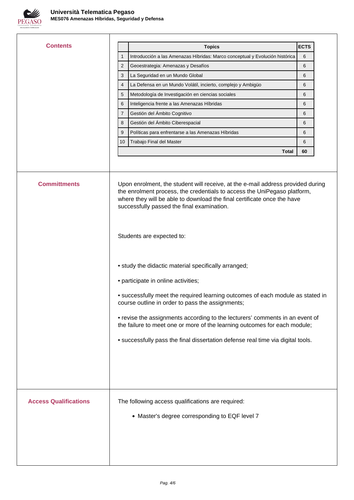

I

| <b>Contents</b>              |                                                                                                                                                                                                                                                                                      | <b>ECTS</b> |
|------------------------------|--------------------------------------------------------------------------------------------------------------------------------------------------------------------------------------------------------------------------------------------------------------------------------------|-------------|
|                              | <b>Topics</b><br>Introducción a las Amenazas Híbridas: Marco conceptual y Evolución histórica<br>1                                                                                                                                                                                   | 6           |
|                              | $\overline{2}$<br>Geoestrategia: Amenazas y Desafíos                                                                                                                                                                                                                                 | 6           |
|                              | 3<br>La Seguridad en un Mundo Global                                                                                                                                                                                                                                                 | 6           |
|                              | 4<br>La Defensa en un Mundo Volátil, incierto, complejo y Ambigüo                                                                                                                                                                                                                    | 6           |
|                              | Metodología de Investigación en ciencias sociales<br>5                                                                                                                                                                                                                               | 6           |
|                              | Inteligencia frente a las Amenazas Híbridas<br>6                                                                                                                                                                                                                                     | 6           |
|                              | Gestión del Ámbito Cognitivo<br>7                                                                                                                                                                                                                                                    | 6           |
|                              | Gestión del Ámbito Ciberespacial<br>8                                                                                                                                                                                                                                                | 6           |
|                              | 9<br>Políticas para enfrentarse a las Amenazas Híbridas                                                                                                                                                                                                                              | 6           |
|                              | Trabajo Final del Master<br>10                                                                                                                                                                                                                                                       | 6           |
|                              | Total                                                                                                                                                                                                                                                                                | 60          |
| <b>Committments</b>          | Upon enrolment, the student will receive, at the e-mail address provided during<br>the enrolment process, the credentials to access the UniPegaso platform,<br>where they will be able to download the final certificate once the have<br>successfully passed the final examination. |             |
|                              | Students are expected to:                                                                                                                                                                                                                                                            |             |
|                              | • study the didactic material specifically arranged;                                                                                                                                                                                                                                 |             |
|                              | • participate in online activities;                                                                                                                                                                                                                                                  |             |
|                              | • successfully meet the required learning outcomes of each module as stated in<br>course outline in order to pass the assignments;                                                                                                                                                   |             |
|                              | • revise the assignments according to the lecturers' comments in an event of<br>the failure to meet one or more of the learning outcomes for each module;                                                                                                                            |             |
|                              | • successfully pass the final dissertation defense real time via digital tools.                                                                                                                                                                                                      |             |
|                              |                                                                                                                                                                                                                                                                                      |             |
|                              |                                                                                                                                                                                                                                                                                      |             |
| <b>Access Qualifications</b> | The following access qualifications are required:                                                                                                                                                                                                                                    |             |
|                              | • Master's degree corresponding to EQF level 7                                                                                                                                                                                                                                       |             |
|                              |                                                                                                                                                                                                                                                                                      |             |
|                              |                                                                                                                                                                                                                                                                                      |             |
|                              |                                                                                                                                                                                                                                                                                      |             |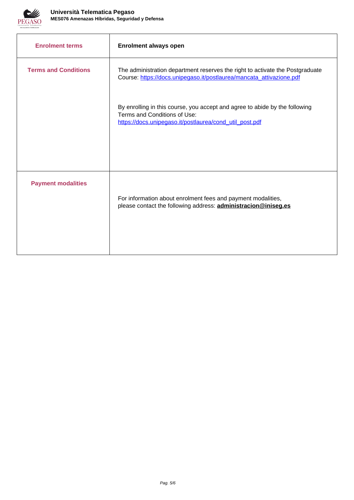

| <b>Enrolment terms</b>      | <b>Enrolment always open</b>                                                                                                                                           |
|-----------------------------|------------------------------------------------------------------------------------------------------------------------------------------------------------------------|
| <b>Terms and Conditions</b> | The administration department reserves the right to activate the Postgraduate<br>Course: https://docs.unipegaso.it/postlaurea/mancata_attivazione.pdf                  |
|                             | By enrolling in this course, you accept and agree to abide by the following<br>Terms and Conditions of Use:<br>https://docs.unipegaso.it/postlaurea/cond_util_post.pdf |
| <b>Payment modalities</b>   | For information about enrolment fees and payment modalities,<br>please contact the following address: <b>administracion@iniseg.es</b>                                  |